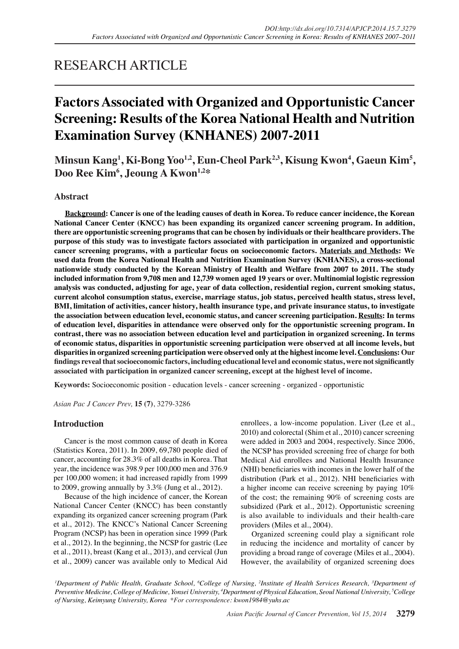# RESEARCH ARTICLE

# **Factors Associated with Organized and Opportunistic Cancer Screening: Results of the Korea National Health and Nutrition Examination Survey (KNHANES) 2007-2011**

Minsun Kang<sup>1</sup>, Ki-Bong Yoo<sup>1,2</sup>, Eun-Cheol Park<sup>2,3</sup>, Kisung Kwon<sup>4</sup>, Gaeun Kim<sup>5</sup>, **Doo Ree Kim6 , Jeoung A Kwon1,2\***

# **Abstract**

**Background: Cancer is one of the leading causes of death in Korea. To reduce cancer incidence, the Korean National Cancer Center (KNCC) has been expanding its organized cancer screening program. In addition, there are opportunistic screening programs that can be chosen by individuals or their healthcare providers. The purpose of this study was to investigate factors associated with participation in organized and opportunistic cancer screening programs, with a particular focus on socioeconomic factors. Materials and Methods: We used data from the Korea National Health and Nutrition Examination Survey (KNHANES), a cross-sectional nationwide study conducted by the Korean Ministry of Health and Welfare from 2007 to 2011. The study included information from 9,708 men and 12,739 women aged 19 years or over. Multinomial logistic regression analysis was conducted, adjusting for age, year of data collection, residential region, current smoking status, current alcohol consumption status, exercise, marriage status, job status, perceived health status, stress level, BMI, limitation of activities, cancer history, health insurance type, and private insurance status, to investigate the association between education level, economic status, and cancer screening participation. Results: In terms of education level, disparities in attendance were observed only for the opportunistic screening program. In contrast, there was no association between education level and participation in organized screening. In terms of economic status, disparities in opportunistic screening participation were observed at all income levels, but disparities in organized screening participation were observed only at the highest income level. Conclusions: Our findings reveal that socioeconomic factors, including educational level and economic status, were not significantly associated with participation in organized cancer screening, except at the highest level of income.**

**Keywords:** Socioeconomic position - education levels - cancer screening - organized - opportunistic

*Asian Pac J Cancer Prev,* **15 (7)**, 3279-3286

# **Introduction**

Cancer is the most common cause of death in Korea (Statistics Korea, 2011). In 2009, 69,780 people died of cancer, accounting for 28.3% of all deaths in Korea. That year, the incidence was 398.9 per 100,000 men and 376.9 per 100,000 women; it had increased rapidly from 1999 to 2009, growing annually by 3.3% (Jung et al., 2012).

Because of the high incidence of cancer, the Korean National Cancer Center (KNCC) has been constantly expanding its organized cancer screening program (Park et al., 2012). The KNCC's National Cancer Screening Program (NCSP) has been in operation since 1999 (Park et al., 2012). In the beginning, the NCSP for gastric (Lee et al., 2011), breast (Kang et al., 2013), and cervical (Jun et al., 2009) cancer was available only to Medical Aid

enrollees, a low-income population. Liver (Lee et al., 2010) and colorectal (Shim et al., 2010) cancer screening were added in 2003 and 2004, respectively. Since 2006, the NCSP has provided screening free of charge for both Medical Aid enrollees and National Health Insurance (NHI) beneficiaries with incomes in the lower half of the distribution (Park et al., 2012). NHI beneficiaries with a higher income can receive screening by paying 10% of the cost; the remaining 90% of screening costs are subsidized (Park et al., 2012). Opportunistic screening is also available to individuals and their health-care providers (Miles et al., 2004).

Organized screening could play a significant role in reducing the incidence and mortality of cancer by providing a broad range of coverage (Miles et al., 2004). However, the availability of organized screening does

*1 Department of Public Health, Graduate School, 6 College of Nursing, 2 Institute of Health Services Research, 3 Department of Preventive Medicine, College of Medicine, Yonsei University, 4 Department of Physical Education, Seoul National University, 5 College of Nursing, Keimyung University, Korea \*For correspondence: kwon1984@yuhs.ac*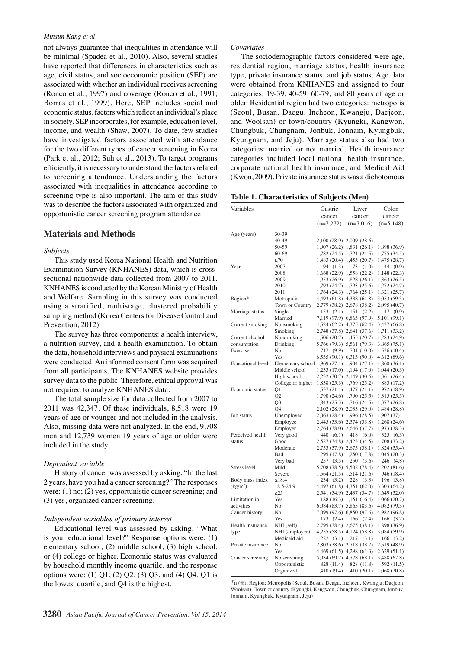#### *Minsun Kang et al*

not always guarantee that inequalities in attendance will be minimal (Spadea et al., 2010). Also, several studies have reported that differences in characteristics such as age, civil status, and socioeconomic position (SEP) are associated with whether an individual receives screening (Ronco et al., 1997) and coverage (Ronco et al., 1991; Borras et al., 1999). Here, SEP includes social and economic status, factors which reflect an individual's place in society. SEP incorporates, for example, education level, income, and wealth (Shaw, 2007). To date, few studies have investigated factors associated with attendance for the two different types of cancer screening in Korea (Park et al., 2012; Suh et al., 2013). To target programs efficiently, it is necessary to understand the factors related to screening attendance. Understanding the factors associated with inequalities in attendance according to screening type is also important. The aim of this study was to describe the factors associated with organized and opportunistic cancer screening program attendance.

## **Materials and Methods**

#### *Subjects*

This study used Korea National Health and Nutrition Examination Survey (KNHANES) data, which is crosssectional nationwide data collected from 2007 to 2011. KNHANES is conducted by the Korean Ministry of Health and Welfare. Sampling in this survey was conducted using a stratified, multistage, clustered probability sampling method (Korea Centers for Disease Control and Prevention, 2012)

The survey has three components: a health interview, a nutrition survey, and a health examination. To obtain the data, household interviews and physical examinations were conducted. An informed consent form was acquired from all participants. The KNHANES website provides survey data to the public. Therefore, ethical approval was not required to analyze KNHANES data.

The total sample size for data collected from 2007 to 2011 was 42,347. Of these individuals, 8,518 were 19 years of age or younger and not included in the analysis. Also, missing data were not analyzed. In the end, 9,708 men and 12,739 women 19 years of age or older were included in the study.

#### *Dependent variable*

History of cancer was assessed by asking, "In the last 2 years, have you had a cancer screening?" The responses were: (1) no; (2) yes, opportunistic cancer screening; and (3) yes, organized cancer screening.

#### *Independent variables of primary interest*

Educational level was assessed by asking, "What is your educational level?" Response options were: (1) elementary school, (2) middle school, (3) high school, or (4) college or higher. Economic status was evaluated by household monthly income quartile, and the response options were: (1) Q1, (2) Q2, (3) Q3, and (4) Q4. Q1 is the lowest quartile, and Q4 is the highest.

#### *Covariates*

The sociodemographic factors considered were age, residential region, marriage status, health insurance type, private insurance status, and job status. Age data were obtained from KNHANES and assigned to four categories: 19-39, 40-59, 60-79, and 80 years of age or older. Residential region had two categories: metropolis (Seoul, Busan, Daegu, Incheon, Kwangju, Daejeon, and Woolsan) or town/country (Kyungki, Kangwon, Chungbuk, Chungnam, Jonbuk, Jonnam, Kyungbuk, Kyungnam, and Jeju). Marriage status also had two categories: married or not married. Health insurance categories included local national health insurance, corporate national health insurance, and Medical Aid (Kwon, 2009). Private insurance status was a dichotomous

|  | Table 1. Characteristics of Subjects (Men) |  |  |  |  |
|--|--------------------------------------------|--|--|--|--|
|--|--------------------------------------------|--|--|--|--|

| Variables                |                                             | Gastric      | Liver                                     | Colon                     |
|--------------------------|---------------------------------------------|--------------|-------------------------------------------|---------------------------|
|                          |                                             | cancer       | cancer                                    | cancer                    |
|                          |                                             | $(n=7,272)$  | $(n=7,016)$                               | $(n=5,148)$               |
| Age (years)              | 30-39                                       |              |                                           |                           |
|                          | 40-49                                       |              | 2,100 (28.9) 2,009 (28.6)                 |                           |
|                          | 50-59                                       |              | 1,907 (26.2) 1,831 (26.1)                 | 1,898 (36.9)              |
|                          | $60 - 69$                                   |              | 1,782 (24.5) 1,721 (24.5)                 | 1,775 (34.5)              |
|                          | $\geq 70$                                   |              | 1,483 (20.4) 1,455 (20.7)                 | 1,475 (28.7)              |
| Year                     | 2007                                        | 94 (1.3)     | 73<br>(1.0)                               | 44 (0.9)                  |
|                          | 2008                                        |              | 1,668 (22.9) 1,558 (22.2)                 | 1,148 (22.3)              |
|                          | 2009                                        |              | 1,953 (26.9) 1,828 (26.1)                 | 1,363 (26.5)              |
|                          | 2010                                        |              | 1,793 (24.7) 1,793 (25.6)                 | 1,272 (24.7)              |
|                          | 2011                                        |              | 1,764 (24.3) 1,764 (25.1)                 | 1,321 (25.7)              |
| Region*                  | Metropolis                                  |              | 4,493 (61.8) 4,338 (61.8)                 | 3,053 (59.3)              |
|                          | Town or Country                             |              | 2,779 (38.2) 2,678 (38.2)                 | 2,095 (40.7)              |
| Marriage status          | Single                                      | 153(2.1)     | 151<br>(2.2)                              | 47 (0.9)                  |
|                          | Married                                     |              | 7,119 (97.9) 6,865 (97.9)                 | 5,101 (99.1)              |
| Current smoking          | Nonsmoking                                  |              | 4,524 (62.2) 4,375 (62.4)                 | 3,437 (66.8)              |
|                          | Smoking                                     |              | 2,748 (37.8) 2,641 (37.6)                 | 1,711 (33.2)              |
| Current alcohol          | Nondrinking                                 |              | 1,506 (20.7) 1,455 (20.7)                 | 1,283 (24.9)              |
| consumption              | Drinking                                    |              | 5,766 (79.3) 5,561 (79.3)                 | 3,865 (75.1)              |
| Exercise                 | No                                          | (9.9)<br>717 | 701 (10.0)                                | 536 (10.4)                |
|                          | Yes                                         |              | $6,555(90.1)$ $6,315(90.0)$               | 4,612 (89.6)              |
| <b>Educational</b> level | Elementary school 1,969 (27.1) 1,904 (27.1) |              |                                           | 1,860 (36.1)              |
|                          | Middle school                               |              | 1,233 (17.0) 1,194 (17.0)                 | 1,044 (20.3)              |
|                          | High school                                 |              | 2,232 (30.7) 2,149 (30.6)                 | 1,361 (26.4)              |
|                          | College or higher                           |              | 1,838 (25.3) 1,769 (25.2)                 | 883 (17.2)                |
| Economic status          | Q1                                          |              | 1,537 (21.1) 1,477 (21.1)                 | 972 (18.9)                |
|                          | Q <sub>2</sub>                              |              | 1,790 (24.6) 1,790 (25.5)                 | 1,315 (25.5)              |
|                          | Q <sub>3</sub>                              |              | 1,843 (25.3) 1,716 (24.5)                 | 1,377 (26.8)              |
|                          | O4                                          |              | 2,102 (28.9) 2,033 (29.0)                 | 1,484 (28.8)              |
| Job status               | Unemployed                                  |              | 2,063 (28.4) 1,996 (28.5)                 | 1,907 (37)                |
|                          | Employee                                    |              | 2,445 (33.6) 2,374 (33.8)                 | 1,268 (24.6)              |
|                          | Employer                                    |              | 2,764 (38.0) 2,646 (37.7)                 | 1,973 (38.3)              |
| Perceived health         | Very good                                   | 440 (6.1)    | 418<br>(6.0)                              | 325 (6.3)                 |
| status                   | Good                                        |              | 2,527 (34.8) 2,423 (34.5)                 | 1,708 (33.2)              |
|                          | Moderate                                    |              | 2,753 (37.9) 2,675 (38.1)                 | 1,824 (35.4)              |
|                          | Bad                                         |              | 1,295 (17.8) 1,250 (17.8)                 | 1,045 (20.3)              |
|                          | Very bad                                    | 257 (3.5)    | 250<br>(3.6)                              | 246 (4.8)                 |
| Stress level             | Mild                                        |              | 5,708 (78.5) 5,502 (78.4)                 | 4,202 (81.6)              |
|                          | Severe                                      |              | 1,564 (21.5) 1,514 (21.6)                 | 946 (18.4)                |
| Body mass index          | $\leq 18.4$                                 | 234 (3.2)    | 228<br>(3.3)                              | 196 (3.8)                 |
| (kg/m <sup>2</sup> )     | 18.5-24.9                                   |              | 4,497 (61.8) 4,351 (62.0)                 | 3,303 (64.2)              |
|                          | $\geq$ 25                                   |              | 2,541 (34.9) 2,437 (34.7)                 | 1,649 (32.0)              |
| Limitation in            | Yes                                         |              | $1,188(16.3)$ $1,151(16.4)$               | 1,066 (20.7)              |
| activities               | No                                          |              | $6,084(83.7)$ 5,865 (83.6)                | 4,082 (79.3)              |
| Cancer history           | No                                          |              | 7,099 (97.6) 6,850 (97.6)                 | 4,982 (96.8)              |
|                          | Yes                                         | (2.4)<br>173 | 166<br>(2.4)                              | 166 (3.2)                 |
| Health insurance         |                                             |              | 2,795 (38.4) 2,675 (38.1)                 | 1,898 (36.9)              |
|                          | NHI (self)<br>NHI (employee)                |              | 4,255 (58.5) 4,124 (58.8)                 | 3,084 (59.9)              |
| type                     | Medicaid aid                                |              |                                           |                           |
| Private insurance        | No                                          | 222 (3.1)    | 217<br>(3.1)<br>2,803 (38.6) 2,718 (38.7) | 166 (3.2)<br>2,519 (48.9) |
|                          | Yes                                         |              |                                           |                           |
|                          |                                             |              | 4,469 (61.5) 4,298 (61.3)                 | 2,629 (51.1)              |
| Cancer screening         | No screening                                |              | 5,034 (69.2) 4,778 (68.1)                 | 3,488 (67.8)              |
|                          | Opportunistic                               | 828 (11.4)   | 828 (11.8)                                | 592 (11.5)                |
|                          | Organized                                   |              | 1,410 (19.4) 1,410 (20.1)                 | 1,068 (20.8)              |

\*n (%), Region: Metropolis (Seoul, Busan, Deagu, Inchoen, Kwangju, Daejeon, Woolsan), Town or country (Kyungki, Kangwon, Chungbuk, Chungnam, Jonbuk, Jonnam, Kyungbuk, Kyungnam, Jeju)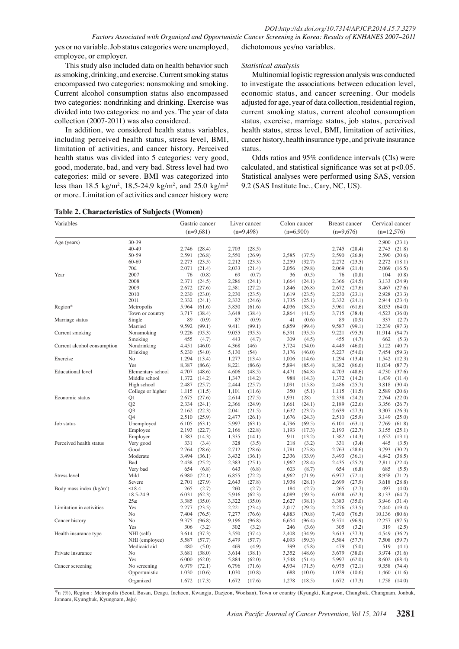status.

*Statistical analysis*

yes or no variable. Job status categories were unemployed, employee, or employer.

dichotomous yes/no variables.

This study also included data on health behavior such as smoking, drinking, and exercise. Current smoking status encompassed two categories: nonsmoking and smoking. Current alcohol consumption status also encompassed two categories: nondrinking and drinking. Exercise was divided into two categories: no and yes. The year of data collection (2007-2011) was also considered.

In addition, we considered health status variables, including perceived health status, stress level, BMI, limitation of activities, and cancer history. Perceived health status was divided into 5 categories: very good, good, moderate, bad, and very bad. Stress level had two categories: mild or severe. BMI was categorized into less than 18.5 kg/m<sup>2</sup>, 18.5-24.9 kg/m<sup>2</sup>, and 25.0 kg/m<sup>2</sup> or more. Limitation of activities and cancer history were

Multinomial logistic regression analysis was conducted to investigate the associations between education level, economic status, and cancer screening. Our models adjusted for age, year of data collection, residential region, current smoking status, current alcohol consumption status, exercise, marriage status, job status, perceived health status, stress level, BMI, limitation of activities, cancer history, health insurance type, and private insurance

Odds ratios and 95% confidence intervals (CIs) were calculated, and statistical significance was set at p<0.05. Statistical analyses were performed using SAS, version 9.2 (SAS Institute Inc., Cary, NC, US).

|  | <b>Table 2. Characteristics of Subjects (Women)</b> |  |  |
|--|-----------------------------------------------------|--|--|
|--|-----------------------------------------------------|--|--|

| Variables                   |                                  |                | Gastric cancer   |                | Liver cancer     | Colon cancer   |                | Breast cancer  |                  | Cervical cancer |                  |
|-----------------------------|----------------------------------|----------------|------------------|----------------|------------------|----------------|----------------|----------------|------------------|-----------------|------------------|
|                             |                                  |                | $(n=9,681)$      |                | $(n=9,498)$      | $(n=6.900)$    |                | $(n=9.676)$    |                  | $(n=12,576)$    |                  |
| Age (years)                 | 30-39                            |                |                  |                |                  |                |                |                |                  |                 | 2,900 (23.1)     |
|                             | 40-49                            | 2,746          | (28.4)           | 2,703          | (28.5)           |                |                | 2,745          | (28.4)           | 2,745           | (21.8)           |
|                             | 50-59                            | 2,591          | (26.8)           | 2,550          | (26.9)           | 2,585          | (37.5)         | 2,590          | (26.8)           | 2,590           | (20.6)           |
|                             | $60 - 69$                        | 2,273          | (23.5)           | 2,212          | (23.3)           | 2,259          | (32.7)         | 2,272          | (23.5)           | 2,272           | (18.1)           |
|                             | 70£                              | 2,071          | (21.4)           | 2,033          | (21.4)           | 2,056          | (29.8)         | 2,069          | (21.4)           | 2,069           | (16.5)           |
| Year                        | 2007                             | 76             | (0.8)            | 69             | (0.7)            | 36             | (0.5)          | 76             | (0.8)            | 104             | (0.8)            |
|                             | 2008                             | 2,371          | (24.5)           | 2,286          | (24.1)           | 1,664          | (24.1)         | 2,366          | (24.5)           | 3,133           | (24.9)           |
|                             | 2009                             | 2,672          | (27.6)           | 2,581          | (27.2)           | 1,846          | (26.8)         | 2,672          | (27.6)           | 3,467           | (27.6)           |
|                             | 2010                             | 2,230          | (23.0)           | 2,230          | (23.5)           | 1,619          | (23.5)         | 2,230          | (23.1)           | 2,928           | (23.3)           |
|                             | 2011                             | 2,332          | (24.1)           | 2,332          | (24.6)           | 1,735          | (25.1)         | 2,332          | (24.1)           | 2,944           | (23.4)           |
| Region*                     | Metropolis                       | 5,964          | (61.6)           | 5,850          | (61.6)           | 4,036          | (58.5)         | 5,961          | (61.6)           | 8,053           | (64.0)           |
|                             | Town or country                  | 3,717          | (38.4)           | 3,648          | (38.4)           | 2,864          | (41.5)         | 3,715          | (38.4)           | 4,523           | (36.0)           |
| Marriage status             | Single                           | 89             | (0.9)            | 87             | (0.9)            | 41             | (0.6)          | 89             | (0.9)            | 337             | (2.7)            |
|                             | Married                          | 9,592          | (99.1)           | 9,411          | (99.1)           | 6,859          | (99.4)         | 9,587          | (99.1)           | 12,239          | (97.3)           |
| Current smoking             | Nonsmoking                       | 9,226          | (95.3)           | 9,055          | (95.3)           | 6,591          | (95.5)         | 9,221          | (95.3)           | 11,914          | (94.7)           |
|                             | Smoking                          | 455            | (4.7)            | 443            | (4.7)            | 309            | (4.5)          | 455            | (4.7)            | 662             | (5.3)            |
| Current alcohol consumption | Nondrinking                      | 4,451          | (46.0)           | 4,368          | (46)             | 3,724          | (54.0)         | 4,449          | (46.0)           | 5,122           | (40.7)           |
|                             | Drinking                         | 5,230          | (54.0)           | 5,130          | (54)             | 3,176          | (46.0)         | 5,227          | (54.0)           | 7,454           | (59.3)           |
| Exercise                    | No                               | 1,294          | (13.4)           | 1,277          | (13.4)           | 1,006          | (14.6)         | 1,294          | (13.4)           | 1,542           | (12.3)           |
|                             | Yes                              | 8,387          | (86.6)           | 8,221          | (86.6)           | 5,894          | (85.4)         | 8,382          | (86.6)           | 11,034          | (87.7)           |
| <b>Educational</b> level    | Elementary school                | 4,707          | (48.6)           | 4,606          | (48.5)           | 4,471          | (64.8)         | 4,703          | (48.6)           | 4,730           | (37.6)           |
|                             | Middle school                    | 1,372          | (14.2)           | 1,347          | (14.2)           | 988            | (14.3)         | 1,372          | (14.2)           | 1,439           | (11.4)           |
|                             | High school                      | 2,487          | (25.7)           | 2,444<br>1,101 | (25.7)           | 1,091<br>350   | (15.8)         | 2,486          | (25.7)<br>(11.5) | 3,818           | (30.4)           |
|                             | College or higher                | 1,115          | (11.5)           |                | (11.6)           |                | (5.1)          | 1,115          |                  | 2,589           | (20.6)           |
| Economic status             | Q <sub>1</sub>                   | 2,675          | (27.6)           | 2,614          | (27.5)           | 1,931          | (28)<br>(24.1) | 2,338          | (24.2)           | 2,764           | (22.0)           |
|                             | Q2                               | 2,334          | (24.1)           | 2,366          | (24.9)           | 1,661          | (23.7)         | 2,189          | (22.6)           | 3,356           | (26.7)           |
|                             | Q <sub>3</sub><br>O <sub>4</sub> | 2,162<br>2,510 | (22.3)<br>(25.9) | 2,041<br>2,477 | (21.5)<br>(26.1) | 1,632<br>1,676 | (24.3)         | 2,639<br>2,510 | (27.3)<br>(25.9) | 3,307<br>3,149  | (26.3)<br>(25.0) |
| Job status                  | Unemployed                       | 6,105          | (63.1)           | 5,997          | (63.1)           | 4,796          | (69.5)         | 6,101          | (63.1)           | 7,769           | (61.8)           |
|                             | Employee                         | 2,193          | (22.7)           | 2,166          | (22.8)           | 1,193          | (17.3)         | 2,193          | (22.7)           | 3,155           | (25.1)           |
|                             | Employer                         | 1,383          | (14.3)           | 1,335          | (14.1)           | 911            | (13.2)         | 1,382          | (14.3)           | 1,652           | (13.1)           |
| Perceived health status     | Very good                        | 331            | (3.4)            | 328            | (3.5)            | 218            | (3.2)          | 331            | (3.4)            | 445             | (3.5)            |
|                             | Good                             | 2,764          | (28.6)           | 2,712          | (28.6)           | 1,781          | (25.8)         | 2,763          | (28.6)           | 3,793           | (30.2)           |
|                             | Moderate                         | 3,494          | (36.1)           | 3,432          | (36.1)           | 2,336          | (33.9)         | 3,493          | (36.1)           | 4,842           | (38.5)           |
|                             | Bad                              | 2,438          | (25.2)           | 2,383          | (25.1)           | 1,962          | (28.4)         | 2,435          | (25.2)           | 2,811           | (22.4)           |
|                             | Very bad                         | 654            | (6.8)            | 643            | (6.8)            | 603            | (8.7)          | 654            | (6.8)            | 685             | (5.5)            |
| Stress level                | Mild                             | 6,980          | (72.1)           | 6,855          | (72.2)           | 4,962          | (71.9)         | 6,977          | (72.1)           | 8,958           | (71.2)           |
|                             | Severe                           | 2,701          | (27.9)           | 2,643          | (27.8)           | 1,938          | (28.1)         | 2,699          | (27.9)           | 3,618           | (28.8)           |
| Body mass index $(kg/m2)$   | $\leq 18.4$                      | 265            | (2.7)            | 260            | (2.7)            | 184            | (2.7)          | 265            | (2.7)            | 497             | (4.0)            |
|                             | 18.5-24.9                        | 6,031          | (62.3)           | 5,916          | (62.3)           | 4,089          | (59.3)         | 6,028          | (62.3)           | 8,133           | (64.7)           |
|                             | 25<                              | 3,385          | (35.0)           | 3,322          | (35.0)           | 2,627          | (38.1)         | 3,383          | (35.0)           | 3,946           | (31.4)           |
| Limitation in activities    | Yes                              | 2,277          | (23.5)           | 2,221          | (23.4)           | 2,017          | (29.2)         | 2,276          | (23.5)           | 2,440           | (19.4)           |
|                             | No                               | 7,404          | (76.5)           | 7,277          | (76.6)           | 4,883          | (70.8)         | 7,400          | (76.5)           | 10,136          | (80.6)           |
| Cancer history              | No                               | 9,375          | (96.8)           | 9,196          | (96.8)           | 6,654          | (96.4)         | 9,371          | (96.9)           | 12,257          | (97.5)           |
|                             | Yes                              | 306            | (3.2)            | 302            | (3.2)            | 246            | (3.6)          | 305            | (3.2)            | 319             | (2.5)            |
| Health insurance type       | NHI (self)                       | 3,614          | (37.3)           | 3,550          | (37.4)           | 2,408          | (34.9)         | 3,613          | (37.3)           | 4,549           | (36.2)           |
|                             | NHI (employee)                   | 5,587          | (57.7)           | 5,479          | (57.7)           | 4,093          | (59.3)         | 5,584          | (57.7)           | 7,508           | (59.7)           |
|                             | Medicaid aid                     | 480            | (5.0)            | 469            | (4.9)            | 399            | (5.8)          | 479            | (5.0)            | 519             | (4.1)            |
| Private insurance           | No                               | 3,681          | (38.0)           | 3,614          | (38.1)           | 3,352          | (48.6)         | 3,679          | (38.0)           | 3,974           | (31.6)           |
|                             | Yes                              | 6,000          | (62.0)           | 5,884          | (62.0)           | 3,548          | (51.4)         | 5,997          | (62.0)           | 8,602           | (68.4)           |
| Cancer screening            | No screening                     | 6,979          | (72.1)           | 6,796          | (71.6)           | 4,934          | (71.5)         | 6,975          | (72.1)           | 9,358           | (74.4)           |
|                             | Opportunistic                    | 1,030          | (10.6)           | 1,030          | (10.8)           | 688            | (10.0)         | 1,029          | (10.6)           | 1,460           | (11.6)           |
|                             | Organized                        | 1,672          | (17.3)           | 1,672          | (17.6)           | 1,278          | (18.5)         | 1,672          | (17.3)           | 1,758           | (14.0)           |

\*n (%), Region : Metropolis (Seoul, Busan, Deagu, Inchoen, Kwangju, Daejeon, Woolsan), Town or country (Kyungki, Kangwon, Chungbuk, Chungnam, Jonbuk, Jonnam, Kyungbuk, Kyungnam, Jeju)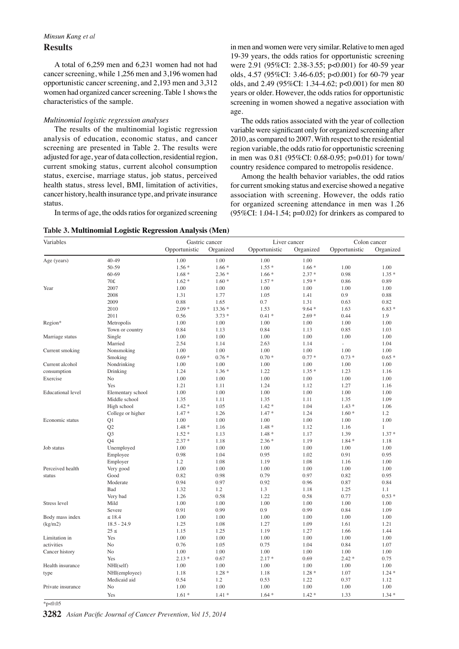# *Minsun Kang et al* **Results**

A total of 6,259 men and 6,231 women had not had cancer screening, while 1,256 men and 3,196 women had opportunistic cancer screening, and 2,193 men and 3,312 women had organized cancer screening. Table 1 shows the characteristics of the sample.

### *Multinomial logistic regression analyses*

The results of the multinomial logistic regression analysis of education, economic status, and cancer screening are presented in Table 2. The results were adjusted for age, year of data collection, residential region, current smoking status, current alcohol consumption status, exercise, marriage status, job status, perceived health status, stress level, BMI, limitation of activities, cancer history, health insurance type, and private insurance status.

In terms of age, the odds ratios for organized screening

**Table 3. Multinomial Logistic Regression Analysis (Men)**

in men and women were very similar. Relative to men aged 19-39 years, the odds ratios for opportunistic screening were 2.91 (95%CI: 2.38-3.55; p<0.001) for 40-59 year olds, 4.57 (95%CI: 3.46-6.05; p<0.001) for 60-79 year olds, and 2.49 (95%CI: 1.34-4.62; p<0.001) for men 80 years or older. However, the odds ratios for opportunistic screening in women showed a negative association with age.

The odds ratios associated with the year of collection variable were significant only for organized screening after 2010, as compared to 2007. With respect to the residential region variable, the odds ratio for opportunistic screening in men was 0.81 (95%CI: 0.68-0.95; p=0.01) for town/ country residence compared to metropolis residence.

Among the health behavior variables, the odd ratios for current smoking status and exercise showed a negative association with screening. However, the odds ratio for organized screening attendance in men was 1.26 (95%CI: 1.04-1.54;  $p=0.02$ ) for drinkers as compared to

| Variables         |                   |               | Gastric cancer |               | Liver cancer |               | Colon cancer |
|-------------------|-------------------|---------------|----------------|---------------|--------------|---------------|--------------|
|                   |                   | Opportunistic | Organized      | Opportunistic | Organized    | Opportunistic | Organized    |
| Age (years)       | 40-49             | 1.00          | 1.00           | 1.00          | 1.00         |               |              |
|                   | 50-59             | $1.56*$       | $1.66*$        | $1.55*$       | $1.66*$      | 1.00          | 1.00         |
|                   | $60 - 69$         | $1.68*$       | $2.36*$        | $1.66*$       | $2.37*$      | 0.98          | $1.35*$      |
|                   | 70£               | $1.62*$       | $1.60*$        | $1.57*$       | $1.59*$      | 0.86          | 0.89         |
| Year              | 2007              | 1.00          | 1.00           | 1.00          | 1.00         | 1.00          | 1.00         |
|                   | 2008              | 1.31          | 1.77           | 1.05          | 1.41         | 0.9           | 0.88         |
|                   | 2009              | 0.88          | 1.65           | 0.7           | 1.31         | 0.63          | 0.82         |
|                   | 2010              | $2.09*$       | $13.36*$       | 1.53          | $9.64*$      | 1.63          | $6.83*$      |
|                   | 2011              | 0.56          | $3.73*$        | $0.41 *$      | $2.69*$      | 0.44          | 1.9          |
| Region*           | Metropolis        | 1.00          | 1.00           | 1.00          | 1.00         | 1.00          | 1.00         |
|                   | Town or country   | 0.84          | 1.13           | 0.84          | 1.13         | 0.85          | 1.03         |
| Marriage status   | Single            | 1.00          | 1.00           | 1.00          | 1.00         | 1.00          | 1.00         |
|                   | Married           | 2.54          | 1.14           | 2.63          | 1.14         | L,            | 1.04         |
| Current smoking   | Nonsmoking        | 1.00          | 1.00           | 1.00          | 1.00         | 1.00          | 1.00         |
|                   | Smoking           | $0.69*$       | $0.76*$        | $0.70*$       | $0.77*$      | $0.73*$       | $0.65*$      |
| Current alcohol   | Nondrinking       | 1.00          | 1.00           | 1.00          | 1.00         | 1.00          | 1.00         |
| consumption       | Drinking          | 1.24          | $1.36*$        | 1.22          | $1.35*$      | 1.23          | 1.16         |
| Exercise          | No                | 1.00          | 1.00           | 1.00          | 1.00         | 1.00          | 1.00         |
|                   | Yes               | 1.21          | 1.11           | 1.24          | 1.12         | 1.27          | 1.16         |
| Educational level | Elementary school | 1.00          | 1.00           | 1.00          | 1.00         | 1.00          | 1.00         |
|                   | Middle school     | 1.35          | 1.11           | 1.35          | 1.11         | 1.35          | 1.09         |
|                   | High school       | $1.42 *$      | 1.05           | $1.42 *$      | 1.04         | $1.43*$       | 1.06         |
|                   | College or higher | $1.47*$       | 1.26           | $1.47*$       | 1.24         | $1.60*$       | 1.2          |
| Economic status   | Q1                | 1.00          | 1.00           | 1.00          | 1.00         | 1.00          | 1.00         |
|                   | Q <sub>2</sub>    | $1.48*$       | 1.16           | $1.48*$       | 1.12         | 1.16          | $\mathbf{1}$ |
|                   | O <sub>3</sub>    | $1.52*$       | 1.13           | $1.48*$       | 1.17         | 1.39          | $1.37*$      |
|                   | O <sub>4</sub>    | $2.37*$       | 1.18           | $2.36*$       | 1.19         | $1.84*$       | 1.18         |
| Job status        | Unemployed        | 1.00          | 1.00           | 1.00          | 1.00         | 1.00          | 1.00         |
|                   | Employee          | 0.98          | 1.04           | 0.95          | 1.02         | 0.91          | 0.95         |
|                   | Employer          | 1.2           | 1.08           | 1.19          | 1.08         | 1.16          | 1.00         |
| Perceived health  | Very good         | 1.00          | 1.00           | 1.00          | 1.00         | 1.00          | 1.00         |
| status            | Good              | 0.82          | 0.98           | 0.79          | 0.97         | 0.82          | 0.95         |
|                   | Moderate          | 0.94          | 0.97           | 0.92          | 0.96         | 0.87          | 0.84         |
|                   | Bad               | 1.32          | 1.2            | 1.3           | 1.18         | 1.25          | 1.1          |
|                   | Very bad          | 1.26          | 0.58           | 1.22          | 0.58         | 0.77          | $0.53*$      |
| Stress level      | Mild              | 1.00          | 1.00           | 1.00          | 1.00         | 1.00          | 1.00         |
|                   | Severe            | 0.91          | 0.99           | 0.9           | 0.99         | 0.84          | 1.09         |
| Body mass index   | $\leq 18.4$       | 1.00          | 1.00           | 1.00          | 1.00         | 1.00          | 1.00         |
| (kg/m2)           | $18.5 - 24.9$     | 1.25          | 1.08           | 1.27          | 1.09         | 1.61          | 1.21         |
|                   | $25 \le$          | 1.15          | 1.25           | 1.19          | 1.27         | 1.66          | 1.44         |
| Limitation in     | Yes               | 1.00          | 1.00           | 1.00          | 1.00         | 1.00          | 1.00         |
| activities        | No                | 0.76          | 1.05           | 0.75          | 1.04         | 0.84          | 1.07         |
| Cancer history    | No                | 1.00          | 1.00           | 1.00          | 1.00         | 1.00          | 1.00         |
|                   | Yes               | $2.13*$       | 0.67           | $2.17*$       | 0.69         | $2.42*$       | 0.75         |
| Health insurance  | NH(self)          | 1.00          | 1.00           | 1.00          | 1.00         | 1.00          | 1.00         |
| type              | NHI(employee)     | 1.18          | $1.28*$        | 1.18          | $1.28*$      | 1.07          | $1.24*$      |
|                   | Medicaid aid      | 0.54          | 1.2            | 0.53          | 1.22         | 0.37          | 1.12         |
| Private insurance | N <sub>o</sub>    | 1.00          | 1.00           | 1.00          | 1.00         | 1.00          | 1.00         |
|                   | Yes               | $1.61*$       | $1.41*$        | $1.64*$       | $1.42*$      | 1.33          | $1.34*$      |
|                   |                   |               |                |               |              |               |              |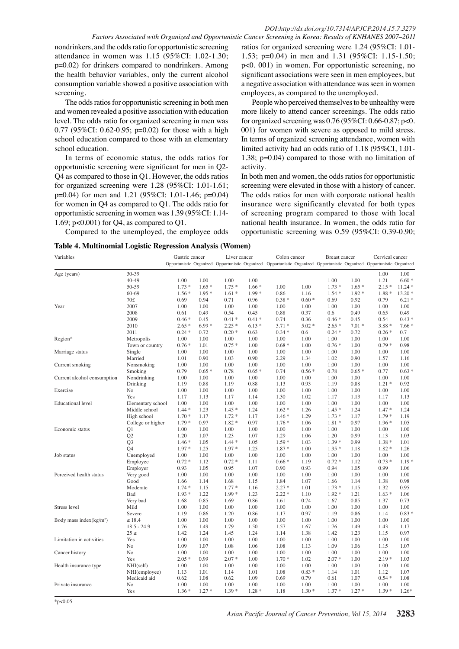nondrinkers, and the odds ratio for opportunistic screening attendance in women was 1.15 (95%CI: 1.02-1.30; p=0.02) for drinkers compared to nondrinkers. Among the health behavior variables, only the current alcohol consumption variable showed a positive association with screening.

The odds ratios for opportunistic screening in both men and women revealed a positive association with education level. The odds ratio for organized screening in men was 0.77 (95%CI: 0.62-0.95; p=0.02) for those with a high school education compared to those with an elementary school education.

In terms of economic status, the odds ratios for opportunistic screening were significant for men in Q2- Q4 as compared to those in Q1. However, the odds ratios for organized screening were 1.28 (95%CI: 1.01-1.61; p=0.04) for men and 1.21 (95%CI: 1.01-1.46; p=0.04) for women in Q4 as compared to Q1. The odds ratio for opportunistic screening in women was 1.39 (95%CI: 1.14- 1.69; p<0.001) for Q4, as compared to Q1.

Compared to the unemployed, the employee odds

ratios for organized screening were 1.24 (95%CI: 1.01- 1.53; p=0.04) in men and 1.31 (95%CI: 1.15-1.50; p<0. 001) in women. For opportunistic screening, no significant associations were seen in men employees, but a negative association with attendance was seen in women employees, as compared to the unemployed.

People who perceived themselves to be unhealthy were more likely to attend cancer screenings. The odds ratio for organized screening was 0.76 (95%CI: 0.66-0.87; p<0. 001) for women with severe as opposed to mild stress. In terms of organized screening attendance, women with limited activity had an odds ratio of 1.18 (95%CI, 1.01- 1.38; p=0.04) compared to those with no limitation of activity.

In both men and women, the odds ratios for opportunistic screening were elevated in those with a history of cancer. The odds ratios for men with corporate national health insurance were significantly elevated for both types of screening program compared to those with local national health insurance. In women, the odds ratio for opportunistic screening was 0.59 (95%CI: 0.39-0.90;

| Table 4. Multinomial Logistic Regression Analysis (Women) |  |  |
|-----------------------------------------------------------|--|--|
|                                                           |  |  |

| Variables                   |                   | Gastric cancer                                                                                                          |         | Liver cancer |         | Colon cancer |         | Breast cancer |         | Cervical cancer |          |
|-----------------------------|-------------------|-------------------------------------------------------------------------------------------------------------------------|---------|--------------|---------|--------------|---------|---------------|---------|-----------------|----------|
|                             |                   | Opportunistic Organized Opportunistic Organized Opportunistic Organized Opportunistic Organized Opportunistic Organized |         |              |         |              |         |               |         |                 |          |
| Age (years)                 | 30-39             |                                                                                                                         |         |              |         |              |         |               |         | 1.00            | 1.00     |
|                             | 40-49             | 1.00                                                                                                                    | 1.00    | 1.00         | 1.00    |              |         | 1.00          | 1.00    | 1.21            | $6.60*$  |
|                             | 50-59             | $1.73*$                                                                                                                 | $1.65*$ | $1.75*$      | $1.66*$ | 1.00         | 1.00    | $1.73*$       | $1.65*$ | $2.15*$         | $11.24*$ |
|                             | $60 - 69$         | $1.56*$                                                                                                                 | $1.95*$ | $1.61*$      | $1.99*$ | 0.86         | 1.16    | $1.54*$       | $1.92*$ | $1.88*$         | $13.20*$ |
|                             | 70£               | 0.69                                                                                                                    | 0.94    | 0.71         | 0.96    | $0.38*$      | $0.60*$ | 0.69          | 0.92    | 0.79            | $6.21*$  |
| Year                        | 2007              | 1.00                                                                                                                    | 1.00    | 1.00         | 1.00    | 1.00         | 1.00    | 1.00          | 1.00    | 1.00            | 1.00     |
|                             | 2008              | 0.61                                                                                                                    | 0.49    | 0.54         | 0.45    | 0.88         | 0.37    | 0.6           | 0.49    | 0.65            | 0.49     |
|                             | 2009              | $0.46*$                                                                                                                 | 0.45    | $0.41*$      | $0.41*$ | 0.74         | 0.36    | $0.46*$       | 0.45    | 0.54            | $0.43*$  |
|                             | 2010              | $2.65*$                                                                                                                 | $6.99*$ | $2.25*$      | $6.13*$ | $3.71*$      | $5.02*$ | $2.65*$       | $7.01*$ | $3.88*$         | $7.66*$  |
|                             | 2011              | $0.24*$                                                                                                                 | 0.72    | $0.20*$      | 0.63    | $0.34*$      | 0.6     | $0.24*$       | 0.72    | $0.26*$         | 0.7      |
| Region*                     | Metropolis        | 1.00                                                                                                                    | 1.00    | 1.00         | 1.00    | 1.00         | 1.00    | 1.00          | 1.00    | 1.00            | 1.00     |
|                             | Town or country   | $0.76*$                                                                                                                 | 1.01    | $0.75*$      | 1.00    | $0.68 *$     | 1.00    | $0.76*$       | 1.00    | $0.79*$         | 0.98     |
| Marriage status             | Single            | 1.00                                                                                                                    | 1.00    | 1.00         | 1.00    | 1.00         | 1.00    | 1.00          | 1.00    | 1.00            | 1.00     |
|                             | Married           | 1.01                                                                                                                    | 0.90    | 1.03         | 0.90    | 2.29         | 1.34    | 1.02          | 0.90    | 1.57            | 1.16     |
| Current smoking             | Nonsmoking        | 1.00                                                                                                                    | 1.00    | 1.00         | 1.00    | 1.00         | 1.00    | 1.00          | 1.00    | 1.00            | 1.00     |
|                             | Smoking           | 0.79                                                                                                                    | $0.65*$ | 0.78         | $0.65*$ | 0.74         | $0.56*$ | 0.78          | $0.65*$ | 0.77            | $0.63*$  |
| Current alcohol consumption | Nondrinking       | 1.00                                                                                                                    | 1.00    | 1.00         | 1.00    | 1.00         | 1.00    | 1.00          | 1.00    | 1.00            | 1.00     |
|                             | Drinking          | 1.19                                                                                                                    | 0.88    | 1.19         | 0.88    | 1.13         | 0.93    | 1.19          | 0.88    | $1.21*$         | 0.92     |
| Exercise                    | No                | 1.00                                                                                                                    | 1.00    | 1.00         | 1.00    | 1.00         | 1.00    | 1.00          | 1.00    | 1.00            | 1.00     |
|                             | Yes               | 1.17                                                                                                                    | 1.13    | 1.17         | 1.14    | 1.30         | 1.02    | 1.17          | 1.13    | 1.17            | 1.13     |
| <b>Educational</b> level    | Elementary school | 1.00                                                                                                                    | 1.00    | 1.00         | 1.00    | 1.00         | 1.00    | 1.00          | 1.00    | 1.00            | 1.00     |
|                             | Middle school     | $1.44*$                                                                                                                 | 1.23    | $1.45*$      | 1.24    | $1.62*$      | 1.26    | $1.45*$       | 1.24    | $1.47*$         | 1.24     |
|                             | High school       | $1.70*$                                                                                                                 | 1.17    | $1.72*$      | 1.17    | $1.46*$      | 1.29    | $1.73*$       | 1.17    | $1.79*$         | 1.19     |
|                             | College or higher | $1.79*$                                                                                                                 | 0.97    | $1.82 *$     | 0.97    | $1.76*$      | 1.06    | $1.81*$       | 0.97    | $1.96*$         | 1.05     |
| Economic status             | Q1                | 1.00                                                                                                                    | 1.00    | 1.00         | 1.00    | 1.00         | 1.00    | 1.00          | 1.00    | 1.00            | 1.00     |
|                             | Q2                | 1.20                                                                                                                    | 1.07    | 1.23         | 1.07    | 1.29         | 1.06    | 1.20          | 0.99    | 1.13            | 1.03     |
|                             | Q <sub>3</sub>    | $1.46*$                                                                                                                 | 1.05    | $1.44*$      | 1.05    | $1.59*$      | 1.03    | $1.39*$       | 0.99    | $1.38*$         | 1.01     |
|                             | O <sub>4</sub>    | $1.97*$                                                                                                                 | 1.25    | $1.97*$      | 1.25    | $1.87*$      | 1.00    | $1.95*$       | 1.18    | $1.82*$         | 1.26     |
| Job status                  | Unemployed        | 1.00                                                                                                                    | 1.00    | 1.00         | 1.00    | 1.00         | 1.00    | 1.00          | 1.00    | 1.00            | 1.00     |
|                             | Employee          | $0.72*$                                                                                                                 | 1.12    | $0.72*$      | 1.11    | $0.66*$      | 1.19    | $0.72 *$      | 1.12    | $0.73*$         | $1.19*$  |
|                             | Employer          | 0.93                                                                                                                    | 1.05    | 0.95         | 1.07    | 0.90         | 0.93    | 0.94          | 1.05    | 0.99            | 1.06     |
| Perceived health status     | Very good         | 1.00                                                                                                                    | 1.00    | 1.00         | 1.00    | 1.00         | 1.00    | 1.00          | 1.00    | 1.00            | 1.00     |
|                             | Good              | 1.66                                                                                                                    | 1.14    | 1.68         | 1.15    | 1.84         | 1.07    | 1.66          | 1.14    | 1.38            | 0.98     |
|                             | Moderate          | $1.74*$                                                                                                                 | 1.15    | $1.77*$      | 1.16    | $2.27*$      | 1.01    | $1.73*$       | 1.15    | 1.32            | 0.95     |
|                             | Bad               | $1.93*$                                                                                                                 | 1.22    | $1.99*$      | 1.23    | $2.22*$      | 1.10    | $1.92*$       | 1.21    | $1.63*$         | 1.06     |
|                             | Very bad          | 1.68                                                                                                                    | 0.85    | 1.69         | 0.86    | 1.61         | 0.74    | 1.67          | 0.85    | 1.37            | 0.73     |
| Stress level                | Mild              | 1.00                                                                                                                    | 1.00    | 1.00         | 1.00    | 1.00         | 1.00    | 1.00          | 1.00    | 1.00            | 1.00     |
|                             | Severe            | 1.19                                                                                                                    | 0.86    | 1.20         | 0.86    | 1.17         | 0.97    | 1.19          | 0.86    | 1.14            | $0.83*$  |
| Body mass index( $kg/m2$ )  | $\leq$ 18.4       | 1.00                                                                                                                    | 1.00    | 1.00         | 1.00    | 1.00         | 1.00    | 1.00          | 1.00    | 1.00            | 1.00     |
|                             | $18.5 - 24.9$     | 1.76                                                                                                                    | 1.49    | 1.79         | 1.50    | 1.57         | 1.67    | 1.76          | 1.49    | 1.43            | 1.17     |
|                             | $25 \le$          | 1.42                                                                                                                    | 1.24    | 1.45         | 1.24    | 1.14         | 1.38    | 1.42          | 1.23    | 1.15            | 0.97     |
| Limitation in activities    | Yes               | 1.00                                                                                                                    | 1.00    | 1.00         | 1.00    | 1.00         | 1.00    | 1.00          | 1.00    | 1.00            | 1.00     |
|                             | N <sub>o</sub>    | 1.09                                                                                                                    | 1.07    | 1.08         | 1.06    | 1.08         | 1.13    | 1.09          | 1.06    | 1.15            | 1.07     |
| Cancer history              | No                | 1.00                                                                                                                    | 1.00    | 1.00         | 1.00    | 1.00         | 1.00    | 1.00          | 1.00    | 1.00            | 1.00     |
|                             | Yes               | $2.05*$                                                                                                                 | 0.99    | $2.07 *$     | 1.00    | $1.70*$      | 1.02    | $2.07 *$      | 1.00    | $2.19*$         | 1.03     |
| Health insurance type       | NH(self)          | 1.00                                                                                                                    | 1.00    | 1.00         | 1.00    | 1.00         | 1.00    | 1.00          | 1.00    | 1.00            | 1.00     |
|                             | NHI(employee)     | 1.13                                                                                                                    | 1.01    | 1.14         | 1.01    | 1.08         | $0.83*$ | 1.14          | 1.01    | 1.12            | 1.07     |
|                             | Medicaid aid      | 0.62                                                                                                                    | 1.08    | 0.62         | 1.09    | 0.69         | 0.79    | 0.61          | 1.07    | $0.54*$         | 1.08     |
| Private insurance           | No                | 1.00                                                                                                                    | 1.00    | 1.00         | 1.00    | 1.00         | 1.00    | 1.00          | 1.00    | 1.00            | 1.00     |
|                             | Yes               | $1.36*$                                                                                                                 | $1.27*$ | $1.39*$      | $1.28*$ | 1.18         | $1.30*$ | $1.37*$       | $1.27*$ | $1.39*$         | $1.26*$  |

 $*_{p<0.05}$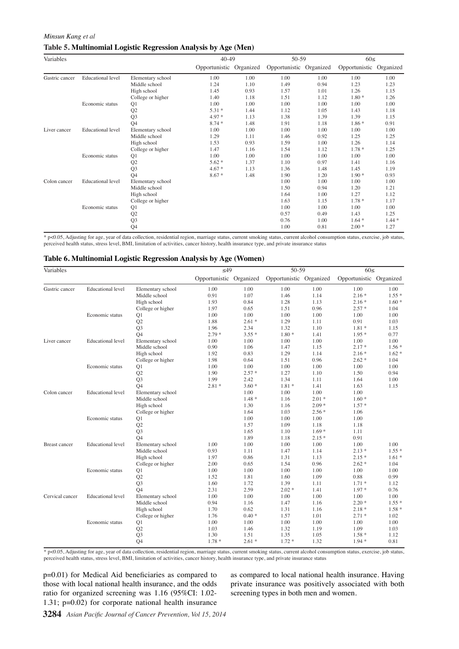#### *Minsun Kang et al*

### **Table 5. Multinomial Logistic Regression Analysis by Age (Men)**

| Variables      |                          |                   | $40-49$                 |      | 50-59                   |      | $60 \leq$               |         |
|----------------|--------------------------|-------------------|-------------------------|------|-------------------------|------|-------------------------|---------|
|                |                          |                   | Opportunistic Organized |      | Opportunistic Organized |      | Opportunistic Organized |         |
| Gastric cancer | <b>Educational level</b> | Elementary school | 1.00                    | 1.00 | 1.00                    | 1.00 | 1.00                    | 1.00    |
|                |                          | Middle school     | 1.24                    | 1.10 | 1.49                    | 0.94 | 1.23                    | 1.23    |
|                |                          | High school       | 1.45                    | 0.93 | 1.57                    | 1.01 | 1.26                    | 1.15    |
|                |                          | College or higher | 1.40                    | 1.18 | 1.51                    | 1.12 | $1.80*$                 | 1.26    |
|                | Economic status          | Q1                | 1.00                    | 1.00 | 1.00                    | 1.00 | 1.00                    | 1.00    |
|                |                          | Q2                | $5.31*$                 | 1.44 | 1.12                    | 1.05 | 1.43                    | 1.18    |
|                |                          | Q <sub>3</sub>    | $4.97*$                 | 1.13 | 1.38                    | 1.39 | 1.39                    | 1.15    |
|                |                          | Q <sub>4</sub>    | $8.74*$                 | 1.48 | 1.91                    | 1.18 | $1.86*$                 | 0.91    |
| Liver cancer   | <b>Educational</b> level | Elementary school | 1.00                    | 1.00 | 1.00                    | 1.00 | 1.00                    | 1.00    |
|                |                          | Middle school     | 1.29                    | 1.11 | 1.46                    | 0.92 | 1.25                    | 1.25    |
|                |                          | High school       | 1.53                    | 0.93 | 1.59                    | 1.00 | 1.26                    | 1.14    |
|                |                          | College or higher | 1.47                    | 1.16 | 1.54                    | 1.12 | $1.78*$                 | 1.25    |
|                | Economic status          | Q1                | 1.00                    | 1.00 | 1.00                    | 1.00 | 1.00                    | 1.00    |
|                |                          | Q2                | $5.62*$                 | 1.37 | 1.10                    | 0.97 | 1.41                    | 1.16    |
|                |                          | Q <sub>3</sub>    | $4.67*$                 | 1.13 | 1.36                    | 1.48 | 1.45                    | 1.19    |
|                |                          | Q <sub>4</sub>    | $8.67*$                 | 1.48 | 1.90                    | 1.20 | $1.90*$                 | 0.93    |
| Colon cancer   | <b>Educational level</b> | Elementary school |                         |      | 1.00                    | 1.00 | 1.00                    | 1.00    |
|                |                          | Middle school     |                         |      | 1.50                    | 0.94 | 1.20                    | 1.21    |
|                |                          | High school       |                         |      | 1.64                    | 1.00 | 1.27                    | 1.12    |
|                |                          | College or higher |                         |      | 1.63                    | 1.15 | $1.78 *$                | 1.17    |
|                | Economic status          | Q1                |                         |      | 1.00                    | 1.00 | 1.00                    | 1.00    |
|                |                          | Q <sub>2</sub>    |                         |      | 0.57                    | 0.49 | 1.43                    | 1.25    |
|                |                          | Q <sub>3</sub>    |                         |      | 0.76                    | 1.00 | $1.64*$                 | $1.44*$ |
|                |                          | Q4                |                         |      | 1.00                    | 0.81 | $2.00*$                 | 1.27    |

\* p<0.05, Adjusting for age, year of data collection, residential region, marriage status, current smoking status, current alcohol consumption status, exercise, job status, perceived health status, stress level, BMI, limitation of activities, cancer history, health insurance type, and private insurance status

#### **Table 6. Multinomial Logistic Regression Analysis by Age (Women)**

| Variables            |                          |                                                      | $\overline{49}$               |                                        | $50-59$                                                                           |                                                                                                                                                                                                                                               | 60<                                                                                                                                                                                                                                                                                                                                                    |                         |      |              |
|----------------------|--------------------------|------------------------------------------------------|-------------------------------|----------------------------------------|-----------------------------------------------------------------------------------|-----------------------------------------------------------------------------------------------------------------------------------------------------------------------------------------------------------------------------------------------|--------------------------------------------------------------------------------------------------------------------------------------------------------------------------------------------------------------------------------------------------------------------------------------------------------------------------------------------------------|-------------------------|------|--------------|
|                      |                          |                                                      | Opportunistic Organized       |                                        | Opportunistic Organized                                                           |                                                                                                                                                                                                                                               | Opportunistic Organized                                                                                                                                                                                                                                                                                                                                |                         |      |              |
| Gastric cancer       | Educational level        | Elementary school<br>Middle school                   | 1.00<br>0.91                  | 1.00<br>1.07                           | 1.00<br>1.46                                                                      | 1.00<br>1.14                                                                                                                                                                                                                                  | 1.00<br>$2.16*$                                                                                                                                                                                                                                                                                                                                        | 1.00<br>$1.55*$         |      |              |
|                      |                          | High school<br>College or higher                     | $^{1.93}_{1.97}$ 00.0         | 0.84<br>0.65                           | 1.28<br>1.51                                                                      | 1.13<br>0.96                                                                                                                                                                                                                                  | $2.16*$<br>$2.57*$                                                                                                                                                                                                                                                                                                                                     | $1.60*$<br>1.04         |      |              |
|                      | Economic status          | Q1<br>Q2                                             | 1.00<br>1.88                  | $1.0\sqrt{0}$ 6.3<br>2.6               | $\frac{9}{29}$ 0.1                                                                | .00<br>.120.3                                                                                                                                                                                                                                 | 1.00<br>0.91                                                                                                                                                                                                                                                                                                                                           | 1.00<br>1.03            |      | 12.8         |
|                      | <b>Educational</b> level | Q <sub>3</sub><br>Q <sub>4</sub>                     | 1.96<br>$^{2.79}_{1.00}$ 75.0 | 2.34<br>$3.55*$                        | .32<br>$.80*$<br>.00                                                              | .10<br>$\overline{1.41}$<br>.00                                                                                                                                                                                                               | $1.81*$<br>$25\overline{0}$                                                                                                                                                                                                                                                                                                                            | 1.15<br>0.77<br>1.00    | 30.0 |              |
| Liver cancer         |                          | Elementary school<br>Middle school<br>High school    | 0.90<br>1.92                  | 1.0 <sub>D</sub><br>1.06<br>$0.8\beta$ | .47<br>246.8                                                                      | .15<br>.14                                                                                                                                                                                                                                    | 2.17<br>$2.16 -$                                                                                                                                                                                                                                                                                                                                       | $1.56*$<br>$1.62*$      |      |              |
|                      | Economic status          | College or higher<br>Q1                              | 1.98<br>1.0050.0              | 56.3<br>0.64<br>1.00                   | .51<br>00.                                                                        | 0.96<br>094.2                                                                                                                                                                                                                                 | 2.62<br>1.00                                                                                                                                                                                                                                                                                                                                           | 1.04<br>1.00            |      | 51.1         |
|                      |                          | Q2<br>Q <sub>3</sub>                                 | 1.90<br>1.99                  | $2.57*$<br>2.4 <sub>2</sub>            | .27<br>.34                                                                        | .10<br>.11                                                                                                                                                                                                                                    | 31.5B<br>1.64                                                                                                                                                                                                                                                                                                                                          | 0.94<br>1.00            | 30.0 |              |
| Colon cancer         | <b>Educational</b> level | O <sub>4</sub><br>Elementary school<br>Middle school | $2.81*$<br>25.0               | $3.60*$<br>1.0<br>$1.48*$              | .81<br>.00<br>.16                                                                 | <b>41</b><br>.00<br>$0.01*$                                                                                                                                                                                                                   | 1.63<br>1.00<br>1.60                                                                                                                                                                                                                                                                                                                                   | 1.15                    |      |              |
|                      |                          | High school<br>College or higher                     |                               | 1.3<br>$1.64$ 31.3                     | $\frac{15}{03}8.0$                                                                | $2.09*$<br>$.56*$<br>023.7                                                                                                                                                                                                                    | 1.57<br>3103                                                                                                                                                                                                                                                                                                                                           |                         | 30.0 | 33.1         |
|                      | Economic status          | Q1<br>Q2<br>Q <sub>3</sub>                           |                               | 1.00<br>1.5<br>1.65                    | .00<br>.09<br>10                                                                  | .18<br>$60 *$                                                                                                                                                                                                                                 | 1.00<br>1.18<br>1.11                                                                                                                                                                                                                                                                                                                                   |                         |      |              |
|                      |                          | Q <sub>4</sub>                                       | 0                             | 1.89                                   | 1.18                                                                              |                                                                                                                                                                                                                                               |                                                                                                                                                                                                                                                                                                                                                        |                         |      |              |
| <b>Breast cancer</b> | <b>Educational</b> level | Elementary school<br>Middle school                   | 1.00<br>0.93                  | 1.00<br>1.11                           |                                                                                   |                                                                                                                                                                                                                                               | 0.91<br>$\frac{1}{2}$<br>$\frac{1}{2}$<br>$\frac{3}{2}$<br>$\frac{3}{2}$<br>$\frac{3}{2}$<br>$\frac{3}{2}$<br>$\frac{3}{2}$<br>$\frac{3}{2}$<br>$\frac{3}{2}$<br>$\frac{3}{2}$<br>$\frac{3}{2}$<br>$\frac{3}{2}$<br>$\frac{3}{2}$<br>$\frac{3}{2}$<br>$\frac{3}{2}$<br>$\frac{3}{2}$<br>$\frac{3}{2}$<br>$\frac{3}{2}$<br>$\frac{3}{2}$<br>$\frac{3}{$ | 1.00<br>$1.55*$         | None |              |
|                      |                          | High school<br>College or higher                     | 1.97<br>2.00                  | without treatment<br>0.86<br>0.65      | $1.00$<br>$1.47$<br>$1.31$<br>$1.54$<br>$1.00$<br>$1.60$<br>$1.39$                | $\begin{array}{l} 2.15\text{ }^{*}\\ 1.00\text{ }^{*}\\ 1.14\text{ }^{1.13}\text{ }^{*}\\ 0.96\text{ }^{*}\\ 0.00\text{ }^{*}\\ 1.00\text{ }^{*}\\ 1.11\text{ }^{1.1}\\ 1.00\text{ }^{*}\\ 1.16\text{ }^{4}\\ 1.16\text{ }^{4}\\ \end{array}$ | 1.00                                                                                                                                                                                                                                                                                                                                                   | $1.61*$<br>1.04<br>1.00 |      | Chemotherapy |
|                      | Economic status          | Q1<br>Q2<br>Q <sub>3</sub>                           | 1.00<br>1.52<br>1.60          | 1.00<br>1.81<br>1.72                   |                                                                                   |                                                                                                                                                                                                                                               | 0.88<br>$1.71*$                                                                                                                                                                                                                                                                                                                                        | 0.99<br>1.12            |      |              |
| Cervical cancer      | <b>Educational</b> level | O <sub>4</sub><br>Elementary school                  | 2.31<br>1.00                  | 2.59<br>1.00                           |                                                                                   |                                                                                                                                                                                                                                               | $1.97*$<br>1.00                                                                                                                                                                                                                                                                                                                                        | 0.76<br>1.00            |      |              |
|                      |                          | Middle school<br>High school                         | 0.94<br>1.70                  | ignosed<br>1.16<br>0.62                | $1.39$<br>$2.02$<br>$1.00$<br>$1.47$<br>$0.47$<br>$1.31$<br>$\overline{\text{O}}$ |                                                                                                                                                                                                                                               | $2.20*$<br>$2.18*$                                                                                                                                                                                                                                                                                                                                     | $1.55*$<br>$1.58*$      |      |              |
|                      | Economic status          | College or higher<br>Q1                              | 1.76<br>1.00                  | $0.40*$<br>1.00                        | $1.57 \ge 1.00 \ge 0$                                                             | 1.01<br>1.00                                                                                                                                                                                                                                  | $2.71*$<br>1.00                                                                                                                                                                                                                                                                                                                                        | 1.02<br>1.00            |      |              |
|                      |                          | Q2<br>Q <sub>3</sub>                                 | 1.03<br>1.30                  | Newly dia<br>1.46<br>1.51              | $1.32$ Ž<br>1.35                                                                  | 1.19<br>1.05                                                                                                                                                                                                                                  | 1.09<br>$1.58*$                                                                                                                                                                                                                                                                                                                                        | 1.03<br>1.12            |      |              |
|                      |                          | <b>O4</b>                                            | $1.78*$                       | $2.61*$                                | $1.72 *$                                                                          | 1.32                                                                                                                                                                                                                                          | $1.94*$                                                                                                                                                                                                                                                                                                                                                | 0.81                    |      |              |

\* p<0.05, Adjusting for age, year of data collection, residential region, marriage status, current smoking status, current alcohol consumption status, exercise, job status, perceived health status, stress level, BMI, limitation of activities, cancer history, health insurance type, and private insurance status

p=0.01) for Medical Aid beneficiaries as compared to those with local national health insurance, and the odds ratio for organized screening was 1.16 (95%CI: 1.02- 1.31; p=0.02) for corporate national health insurance as compared to local national health insurance. Having private insurance was positively associated with both screening types in both men and women.

**3284** *Asian Pacific Journal of Cancer Prevention, Vol 15, 2014*

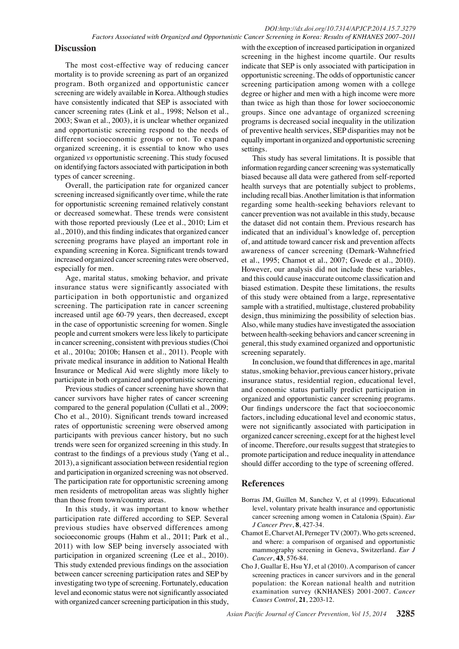**Discussion**<br> **31.3 Solution 31.3 Solution 32.5 Solution 32.5 Confidentially** is the exception of increased particle in organized particle and the propertimality is to provide screening as part of an organize The most cost-effective way of reducing cancer mortality is to provide screening as part of an organized program. Both organized and opportunistic cancer screening are widely available in Korea. Although studies have consistently indicated that SEP is associated with cancer screening rates (Link et al., 1998; Nelson et al., 2003; Swan et al., 2003), it is unclear whether organized and opportunistic screening respond to the needs of different socioeconomic groups or not. To expand organized screening, it is essential to know who uses organized *vs* opportunistic screening. This study focused on identifying factors associated with participation in both types of cancer screening.

Overall, the participation rate for organized cancer screening increased significantly over time, while the rate for opportunistic screening remained relatively constant or decreased somewhat. These trends were consistent with those reported previously (Lee et al., 2010; Lim et al., 2010), and this finding indicates that organized cancer screening programs have played an important role in expanding screening in Korea. Significant trends toward increased organized cancer screening rates were observed, especially for men.

Age, marital status, smoking behavior, and private insurance status were significantly associated with participation in both opportunistic and organized screening. The participation rate in cancer screening increased until age 60-79 years, then decreased, except in the case of opportunistic screening for women. Single people and current smokers were less likely to participate in cancer screening, consistent with previous studies (Choi et al., 2010a; 2010b; Hansen et al., 2011). People with private medical insurance in addition to National Health Insurance or Medical Aid were slightly more likely to participate in both organized and opportunistic screening.

Previous studies of cancer screening have shown that cancer survivors have higher rates of cancer screening compared to the general population (Cullati et al., 2009; Cho et al., 2010). Significant trends toward increased rates of opportunistic screening were observed among participants with previous cancer history, but no such trends were seen for organized screening in this study. In contrast to the findings of a previous study (Yang et al., 2013), a significant association between residential region and participation in organized screening was not observed. The participation rate for opportunistic screening among men residents of metropolitan areas was slightly higher than those from town/country areas.

In this study, it was important to know whether participation rate differed according to SEP. Several previous studies have observed differences among socioeconomic groups (Hahm et al., 2011; Park et al., 2011) with low SEP being inversely associated with participation in organized screening (Lee et al., 2010). This study extended previous findings on the association between cancer screening participation rates and SEP by investigating two type of screening. Fortunately, education level and economic status were not significantly associated with organized cancer screening participation in this study,

equally important in organized and opportunistic screenin**g00.0** with the exception of increased participation in organized screening in the highest income quartile. Our results indicate that SEP is only associated with participation in opportunistic screening. The odds of opportunistic cancer screening participation among women with a college degree or higher and men with a high income were more than twice as high than those for lower socioeconomic groups. Since one advantage of organized screening programs is decreased social inequality in the utilization of preventive health services, SEP disparities may not be settings.

0 0 indicated that an individual's knowledge of, perception<sub>25.0</sub> regarding some health-seeking behaviors relevant to<sup>50.0</sup> information regarding cancer screening was systematically 75.0 This study has several limitations. It is possible that biased because all data were gathered from self-reported health surveys that are potentially subject to problems, including recall bias. Another limitation is that information cancer prevention was not available in this study, because the dataset did not contain them. Previous research has of, and attitude toward cancer risk and prevention affects awareness of cancer screening (Demark-Wahnefried et al., 1995; Chamot et al., 2007; Gwede et al., 2010). However, our analysis did not include these variables, and this could cause inaccurate outcome classification and biased estimation. Despite these limitations, the results of this study were obtained from a large, representative sample with a stratified, multistage, clustered probability design, thus minimizing the possibility of selection bias. Also, while many studies have investigated the association between health-seeking behaviors and cancer screening in general, this study examined organized and opportunistic screening separately.

In conclusion, we found that differences in age, marital status, smoking behavior, previous cancer history, private insurance status, residential region, educational level, and economic status partially predict participation in organized and opportunistic cancer screening programs. Our findings underscore the fact that socioeconomic factors, including educational level and economic status, were not significantly associated with participation in organized cancer screening, except for at the highest level of income. Therefore, our results suggest that strategies to promote participation and reduce inequality in attendance should differ according to the type of screening offered.

# **References**

- Borras JM, Guillen M, Sanchez V, et al (1999). Educational level, voluntary private health insurance and opportunistic cancer screening among women in Catalonia (Spain). *Eur J Cancer Prev*, **8**, 427-34.
- Chamot E, Charvet AI, Perneger TV (2007). Who gets screened, and where: a comparison of organised and opportunistic mammography screening in Geneva, Switzerland. *Eur J Cancer*, **43**, 576-84.
- Cho J, Guallar E, Hsu YJ, et al (2010). A comparison of cancer screening practices in cancer survivors and in the general population: the Korean national health and nutrition examination survey (KNHANES) 2001-2007. *Cancer Causes Control*, **21**, 2203-12.

**46.8 56.3**

**20.3 6.3 10.1**

**25.0 30.020.3 6.3 10.1**